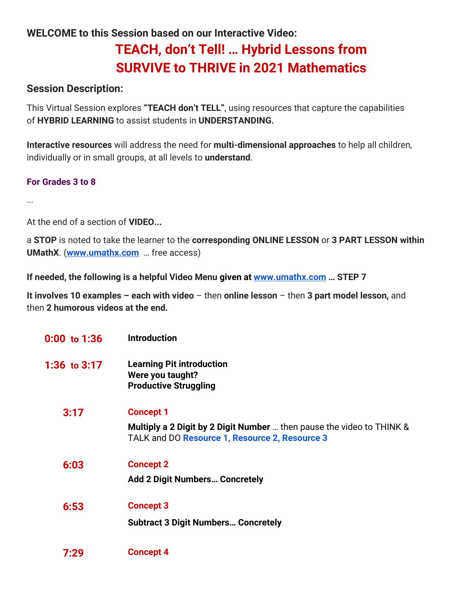## **WELCOME to this Session based on our Interactive Video: TEACH, don't Tell! … Hybrid Lessons from SURVIVE to THRIVE in 2021 Mathematics**

## **Session Description:**

This Virtual Session explores **"TEACH don't TELL"**, using resources that capture the capabilities of **HYBRID LEARNING** to assist students in **UNDERSTANDING.**

**Interactive resources** will address the need for **multi-dimensional approaches** to help all children, individually or in small groups, at all levels to **understand**.

## **For Grades 3 to 8**

...

At the end of a section of **VIDEO...**

a **STOP** is noted to take the learner to the **corresponding ONLINE LESSON** or **3 PART LESSON within UMathX**. (**[www.umathx.com](http://www.umathx.com/)** … free access)

**If needed, the following is a helpful Video Menu given at [www.umathx.com](http://www.umathx.com/) … STEP 7**

**It involves 10 examples – each with video** – then **online lesson** – then **3 part model lesson,** and then **2 humorous videos at the end.**

| $0:00$ to 1:36 | <b>Introduction</b>                                                                                                           |
|----------------|-------------------------------------------------------------------------------------------------------------------------------|
| 1:36 to 3:17   | <b>Learning Pit introduction</b><br>Were you taught?<br><b>Productive Struggling</b>                                          |
| 3:17           | <b>Concept 1</b>                                                                                                              |
|                | <b>Multiply a 2 Digit by 2 Digit Number</b> then pause the video to THINK &<br>TALK and DO Resource 1, Resource 2, Resource 3 |
| 6:03           | <b>Concept 2</b>                                                                                                              |
|                | <b>Add 2 Digit Numbers Concretely</b>                                                                                         |
| 6:53           | <b>Concept 3</b>                                                                                                              |
|                | <b>Subtract 3 Digit Numbers Concretely</b>                                                                                    |
| 7:29           | <b>Concept 4</b>                                                                                                              |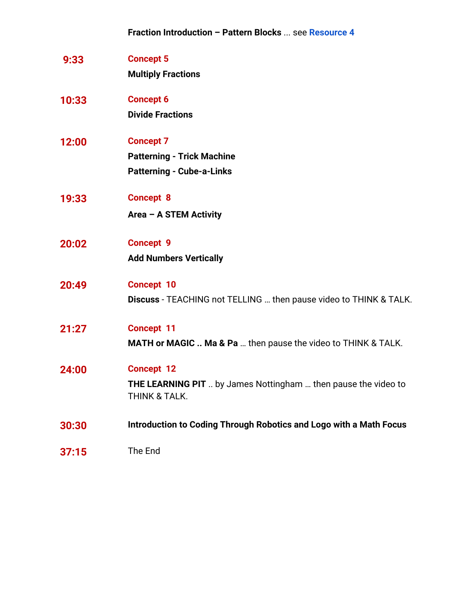| 9:33  | <b>Concept 5</b><br><b>Multiply Fractions</b>                                                              |
|-------|------------------------------------------------------------------------------------------------------------|
| 10:33 | <b>Concept 6</b><br><b>Divide Fractions</b>                                                                |
| 12:00 | <b>Concept 7</b><br><b>Patterning - Trick Machine</b><br><b>Patterning - Cube-a-Links</b>                  |
| 19:33 | <b>Concept 8</b><br>Area - A STEM Activity                                                                 |
| 20:02 | <b>Concept 9</b><br><b>Add Numbers Vertically</b>                                                          |
| 20:49 | <b>Concept 10</b><br>Discuss - TEACHING not TELLING  then pause video to THINK & TALK.                     |
| 21:27 | <b>Concept 11</b><br>MATH or MAGIC  Ma & Pa  then pause the video to THINK & TALK.                         |
| 24:00 | <b>Concept 12</b><br><b>THE LEARNING PIT</b> by James Nottingham  then pause the video to<br>THINK & TALK. |
| 30:30 | Introduction to Coding Through Robotics and Logo with a Math Focus                                         |
| 37:15 | The End                                                                                                    |